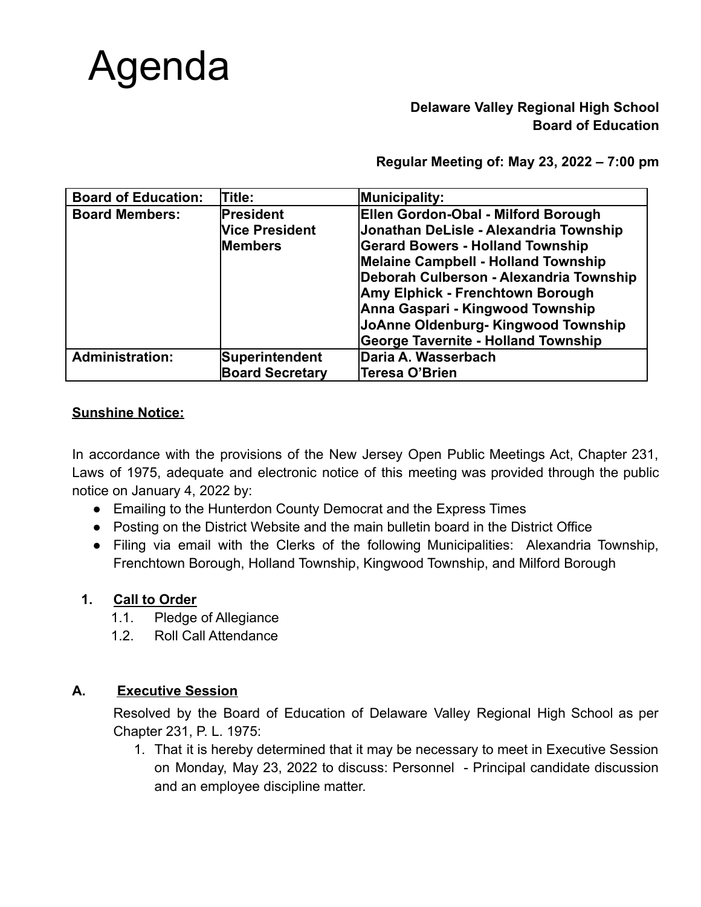# Agenda

# **Delaware Valley Regional High School Board of Education**

**Regular Meeting of: May 23, 2022 – 7:00 pm**

| <b>Board of Education:</b> | <b>Title:</b>          | Municipality:                              |
|----------------------------|------------------------|--------------------------------------------|
| <b>Board Members:</b>      | President              | Ellen Gordon-Obal - Milford Borough        |
|                            | <b>Vice President</b>  | Jonathan DeLisle - Alexandria Township     |
|                            | <b>Members</b>         | <b>Gerard Bowers - Holland Township</b>    |
|                            |                        | Melaine Campbell - Holland Township        |
|                            |                        | Deborah Culberson - Alexandria Township    |
|                            |                        | Amy Elphick - Frenchtown Borough           |
|                            |                        | Anna Gaspari - Kingwood Township           |
|                            |                        | JoAnne Oldenburg- Kingwood Township        |
|                            |                        | <b>George Tavernite - Holland Township</b> |
| <b>Administration:</b>     | Superintendent         | Daria A. Wasserbach                        |
|                            | <b>Board Secretary</b> | Teresa O'Brien                             |

# **Sunshine Notice:**

In accordance with the provisions of the New Jersey Open Public Meetings Act, Chapter 231, Laws of 1975, adequate and electronic notice of this meeting was provided through the public notice on January 4, 2022 by:

- Emailing to the Hunterdon County Democrat and the Express Times
- Posting on the District Website and the main bulletin board in the District Office
- Filing via email with the Clerks of the following Municipalities: Alexandria Township, Frenchtown Borough, Holland Township, Kingwood Township, and Milford Borough

## **1. Call to Order**

- 1.1. Pledge of Allegiance
- 1.2. Roll Call Attendance

# **A. Executive Session**

Resolved by the Board of Education of Delaware Valley Regional High School as per Chapter 231, P. L. 1975:

1. That it is hereby determined that it may be necessary to meet in Executive Session on Monday, May 23, 2022 to discuss: Personnel - Principal candidate discussion and an employee discipline matter.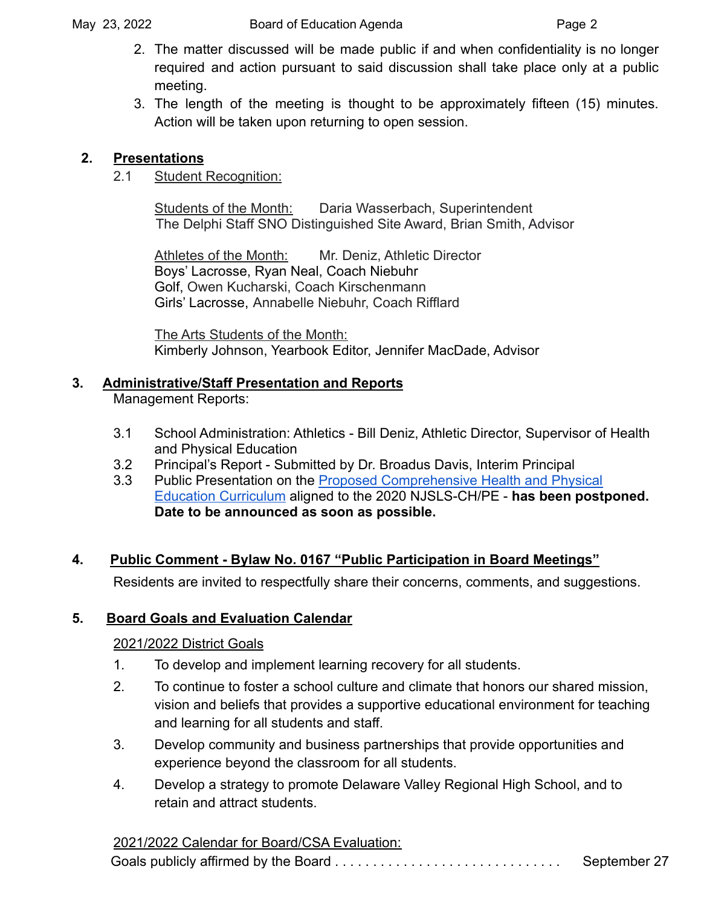- 2. The matter discussed will be made public if and when confidentiality is no longer required and action pursuant to said discussion shall take place only at a public meeting.
- 3. The length of the meeting is thought to be approximately fifteen (15) minutes. Action will be taken upon returning to open session.

# **2. Presentations**

2.1 Student Recognition:

Students of the Month: Daria Wasserbach, Superintendent The Delphi Staff SNO Distinguished Site Award, Brian Smith, Advisor

Athletes of the Month: Mr. Deniz, Athletic Director Boys' Lacrosse, Ryan Neal, Coach Niebuhr Golf, Owen Kucharski, Coach Kirschenmann Girls' Lacrosse, Annabelle Niebuhr, Coach Rifflard

The Arts Students of the Month: Kimberly Johnson, Yearbook Editor, Jennifer MacDade, Advisor

# **3. Administrative/Staff Presentation and Reports**

Management Reports:

- 3.1 School Administration: Athletics Bill Deniz, Athletic Director, Supervisor of Health and Physical Education
- 3.2 Principal's Report Submitted by Dr. Broadus Davis, Interim Principal
- 3.3 Public Presentation on the [Proposed Comprehensive](https://dvrhs-public.rubiconatlas.org/Atlas/Browse/View/Calendars?BrowseByItemType=&BrowseByItemID=&Page=1&SubjectFilter%5B%5D=7&CourseFilter=&NowViewing=Atlas_Browse_View_Calendars&OrderBy=&OrderDirection=&HideEmptyMaps=&CurriculumMapID=1401&YearID=2022&SourceSiteID=&) Health and Physical [Education Curriculum](https://dvrhs-public.rubiconatlas.org/Atlas/Browse/View/Calendars?BrowseByItemType=&BrowseByItemID=&Page=1&SubjectFilter%5B%5D=7&CourseFilter=&NowViewing=Atlas_Browse_View_Calendars&OrderBy=&OrderDirection=&HideEmptyMaps=&CurriculumMapID=1401&YearID=2022&SourceSiteID=&) aligned to the 2020 NJSLS-CH/PE - **has been postponed. Date to be announced as soon as possible.**

# **4. Public Comment - Bylaw No. 0167 "Public Participation in Board Meetings"**

Residents are invited to respectfully share their concerns, comments, and suggestions.

# **5. Board Goals and Evaluation Calendar**

# 2021/2022 District Goals

- 1. To develop and implement learning recovery for all students.
- 2. To continue to foster a school culture and climate that honors our shared mission, vision and beliefs that provides a supportive educational environment for teaching and learning for all students and staff.
- 3. Develop community and business partnerships that provide opportunities and experience beyond the classroom for all students.
- 4. Develop a strategy to promote Delaware Valley Regional High School, and to retain and attract students.

2021/2022 Calendar for Board/CSA Evaluation: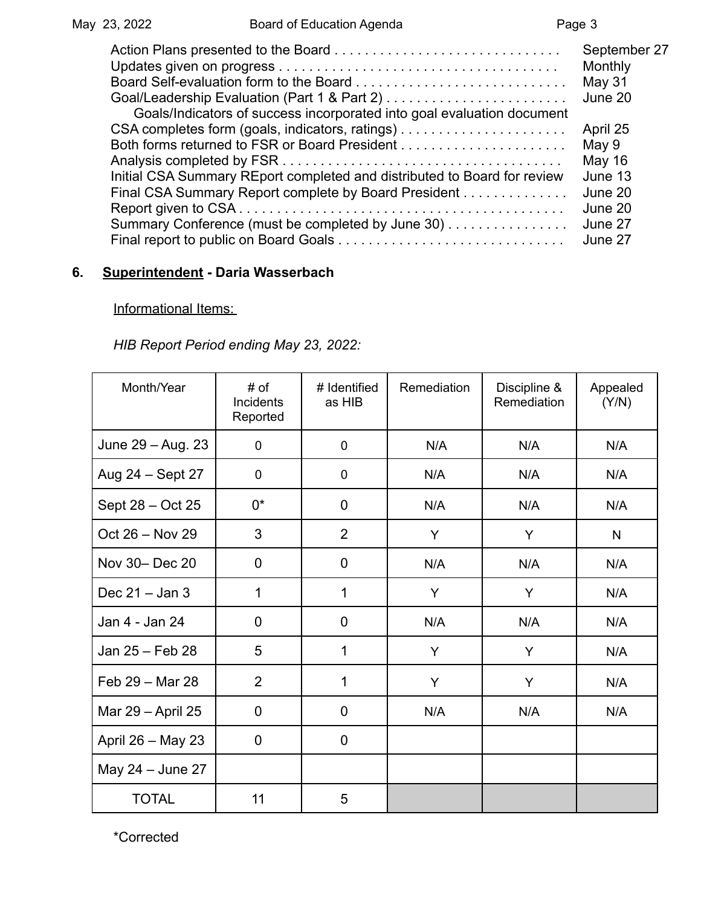| Goals/Indicators of success incorporated into goal evaluation document   | September 27<br>Monthly<br>May 31<br>June 20 |
|--------------------------------------------------------------------------|----------------------------------------------|
|                                                                          | April 25                                     |
|                                                                          | May 9                                        |
|                                                                          | May 16                                       |
| Initial CSA Summary REport completed and distributed to Board for review | June 13                                      |
| Final CSA Summary Report complete by Board President                     | June 20                                      |
|                                                                          | June 20                                      |
| Summary Conference (must be completed by June 30)                        | June 27                                      |
|                                                                          | June 27                                      |

# **6. Superintendent - Daria Wasserbach**

## Informational Items:

*HIB Report Period ending May 23, 2022:*

| Month/Year        | # of<br># Identified<br>Remediation<br>Discipline &<br>Incidents<br>Remediation<br>as HIB<br>Reported |                | Appealed<br>(Y/N) |     |     |
|-------------------|-------------------------------------------------------------------------------------------------------|----------------|-------------------|-----|-----|
| June 29 - Aug. 23 | 0                                                                                                     | $\pmb{0}$      | N/A               | N/A | N/A |
| Aug 24 - Sept 27  | 0                                                                                                     | 0              | N/A               | N/A | N/A |
| Sept 28 - Oct 25  | 0*                                                                                                    | $\mathbf 0$    | N/A               | N/A | N/A |
| Oct 26 - Nov 29   | 3                                                                                                     | $\overline{2}$ | Y                 | Y   | N   |
| Nov 30- Dec 20    | $\mathbf 0$                                                                                           | $\mathbf 0$    | N/A               | N/A | N/A |
| Dec $21 -$ Jan 3  | 1                                                                                                     | 1              | Y                 | Y   | N/A |
| Jan 4 - Jan 24    | $\mathbf 0$                                                                                           | $\mathbf 0$    | N/A               | N/A | N/A |
| Jan 25 - Feb 28   | 5                                                                                                     | 1              | Y                 | Y   | N/A |
| Feb 29 - Mar 28   | $\overline{2}$                                                                                        | 1              | Y                 | Y   | N/A |
| Mar 29 - April 25 | 0                                                                                                     | 0              | N/A               | N/A | N/A |
| April 26 - May 23 | $\mathbf 0$                                                                                           | $\mathbf 0$    |                   |     |     |
| May 24 - June 27  |                                                                                                       |                |                   |     |     |
| <b>TOTAL</b>      | 11                                                                                                    | 5              |                   |     |     |

\*Corrected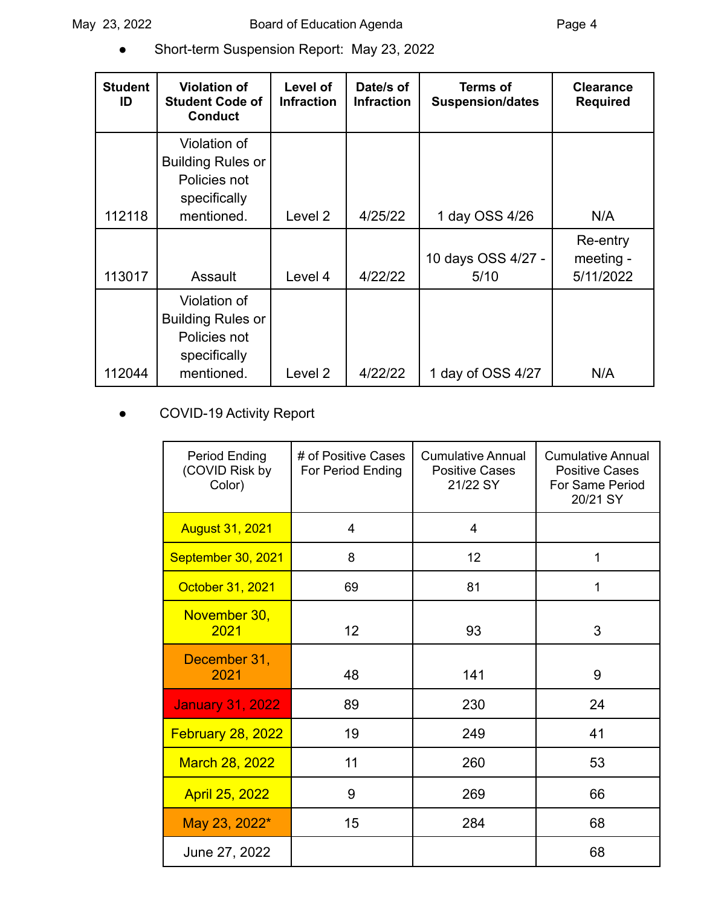● Short-term Suspension Report: May 23, 2022

| <b>Student</b><br>ID | <b>Violation of</b><br><b>Student Code of</b><br><b>Conduct</b>                        | Level of<br><b>Infraction</b> | Date/s of<br><b>Infraction</b> | <b>Terms of</b><br><b>Suspension/dates</b> | <b>Clearance</b><br><b>Required</b> |
|----------------------|----------------------------------------------------------------------------------------|-------------------------------|--------------------------------|--------------------------------------------|-------------------------------------|
|                      | Violation of<br><b>Building Rules or</b><br>Policies not<br>specifically               |                               |                                |                                            |                                     |
| 112118               | mentioned.                                                                             | Level <sub>2</sub>            | 4/25/22                        | 1 day OSS 4/26                             | N/A                                 |
| 113017               | Assault                                                                                | Level 4                       | 4/22/22                        | 10 days OSS 4/27 -<br>5/10                 | Re-entry<br>meeting -<br>5/11/2022  |
| 112044               | Violation of<br><b>Building Rules or</b><br>Policies not<br>specifically<br>mentioned. | Level 2                       | 4/22/22                        | 1 day of OSS 4/27                          | N/A                                 |

# COVID-19 Activity Report

| <b>Period Ending</b><br>(COVID Risk by<br>Color) | # of Positive Cases<br>For Period Ending | <b>Cumulative Annual</b><br><b>Positive Cases</b><br>21/22 SY | <b>Cumulative Annual</b><br><b>Positive Cases</b><br>For Same Period<br>20/21 SY |
|--------------------------------------------------|------------------------------------------|---------------------------------------------------------------|----------------------------------------------------------------------------------|
| <b>August 31, 2021</b>                           | 4                                        | $\overline{4}$                                                |                                                                                  |
| September 30, 2021                               | 8                                        | 12                                                            | 1                                                                                |
| October 31, 2021                                 | 69                                       | 81                                                            | 1                                                                                |
| November 30,<br>2021                             | 12                                       | 93                                                            | 3                                                                                |
| December 31,<br>2021                             | 48                                       | 141                                                           | 9                                                                                |
| <b>January 31, 2022</b>                          | 89                                       | 230                                                           | 24                                                                               |
| <b>February 28, 2022</b>                         | 19                                       | 249                                                           | 41                                                                               |
| March 28, 2022                                   | 11                                       | 260                                                           | 53                                                                               |
| <b>April 25, 2022</b>                            | 9                                        | 269                                                           | 66                                                                               |
| May 23, 2022*                                    | 15                                       | 284                                                           | 68                                                                               |
| June 27, 2022                                    |                                          |                                                               | 68                                                                               |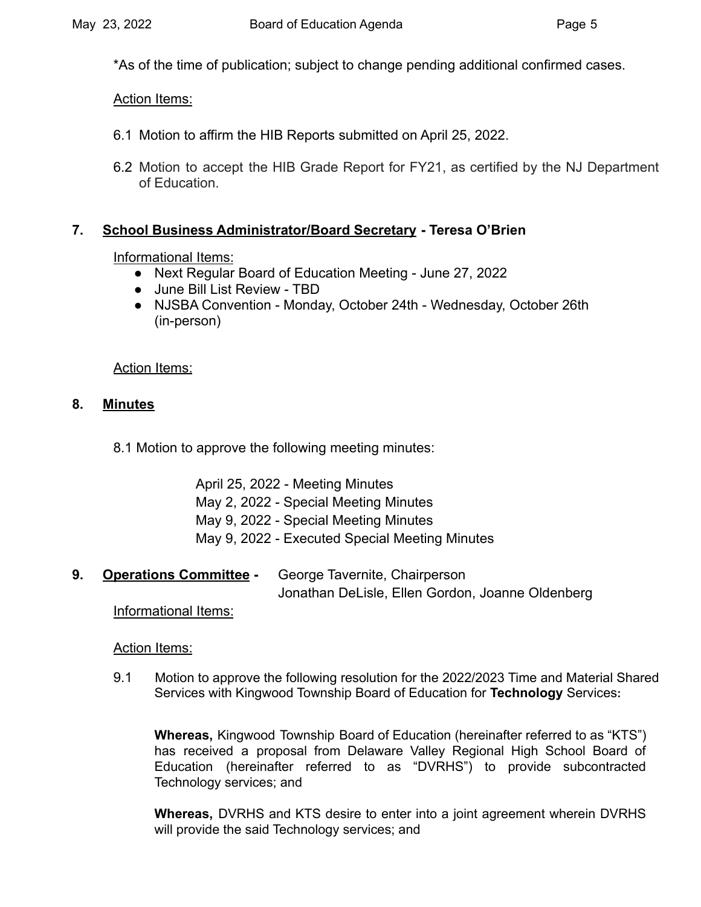\*As of the time of publication; subject to change pending additional confirmed cases.

#### Action Items:

- 6.1 Motion to affirm the HIB Reports submitted on April 25, 2022.
- 6.2 Motion to accept the HIB Grade Report for FY21, as certified by the NJ Department of Education.

## **7. School Business Administrator/Board Secretary - Teresa O'Brien**

## Informational Items:

- Next Regular Board of Education Meeting June 27, 2022
- June Bill List Review TBD
- NJSBA Convention Monday, October 24th Wednesday, October 26th (in-person)

Action Items:

## **8. Minutes**

8.1 Motion to approve the following meeting minutes:

April 25, 2022 - Meeting Minutes

- May 2, 2022 Special Meeting Minutes
- May 9, 2022 Special Meeting Minutes
- May 9, 2022 Executed Special Meeting Minutes
- **9. Operations Committee -** George Tavernite, Chairperson Jonathan DeLisle, Ellen Gordon, Joanne Oldenberg

Informational Items:

#### Action Items:

9.1 Motion to approve the following resolution for the 2022/2023 Time and Material Shared Services with Kingwood Township Board of Education for **Technology** Services**:**

**Whereas,** Kingwood Township Board of Education (hereinafter referred to as "KTS") has received a proposal from Delaware Valley Regional High School Board of Education (hereinafter referred to as "DVRHS") to provide subcontracted Technology services; and

**Whereas,** DVRHS and KTS desire to enter into a joint agreement wherein DVRHS will provide the said Technology services; and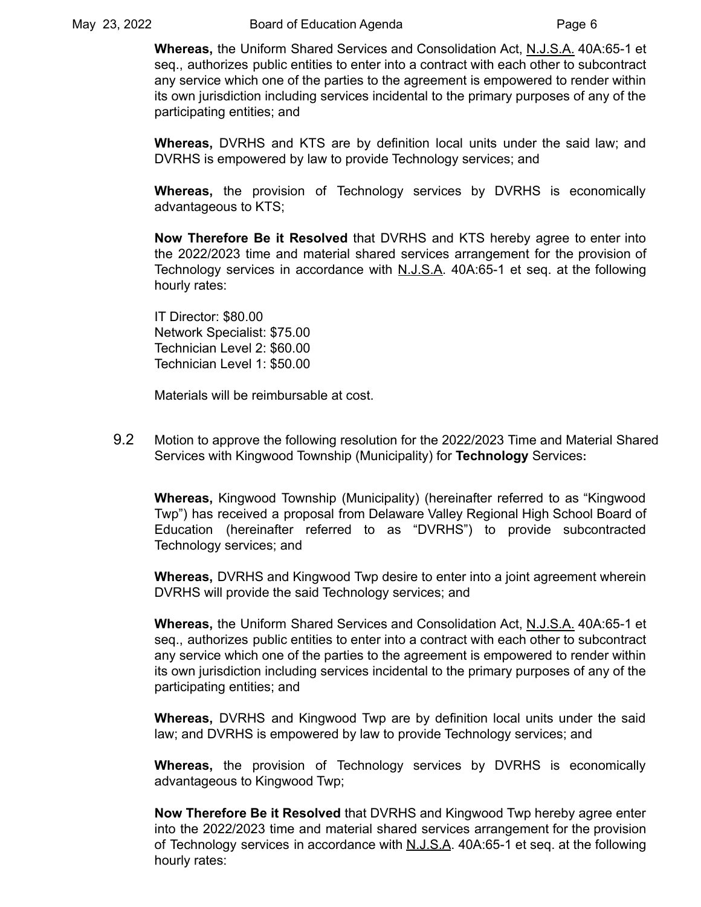**Whereas,** the Uniform Shared Services and Consolidation Act, N.J.S.A. 40A:65-1 et seq., authorizes public entities to enter into a contract with each other to subcontract any service which one of the parties to the agreement is empowered to render within its own jurisdiction including services incidental to the primary purposes of any of the participating entities; and

**Whereas,** DVRHS and KTS are by definition local units under the said law; and DVRHS is empowered by law to provide Technology services; and

**Whereas,** the provision of Technology services by DVRHS is economically advantageous to KTS;

**Now Therefore Be it Resolved** that DVRHS and KTS hereby agree to enter into the 2022/2023 time and material shared services arrangement for the provision of Technology services in accordance with  $N.J.S.A.$  40A:65-1 et seq. at the following hourly rates:

IT Director: \$80.00 Network Specialist: \$75.00 Technician Level 2: \$60.00 Technician Level 1: \$50.00

Materials will be reimbursable at cost.

9.2 Motion to approve the following resolution for the 2022/2023 Time and Material Shared Services with Kingwood Township (Municipality) for **Technology** Services**:**

**Whereas,** Kingwood Township (Municipality) (hereinafter referred to as "Kingwood Twp") has received a proposal from Delaware Valley Regional High School Board of Education (hereinafter referred to as "DVRHS") to provide subcontracted Technology services; and

**Whereas,** DVRHS and Kingwood Twp desire to enter into a joint agreement wherein DVRHS will provide the said Technology services; and

**Whereas,** the Uniform Shared Services and Consolidation Act, N.J.S.A. 40A:65-1 et seq., authorizes public entities to enter into a contract with each other to subcontract any service which one of the parties to the agreement is empowered to render within its own jurisdiction including services incidental to the primary purposes of any of the participating entities; and

**Whereas,** DVRHS and Kingwood Twp are by definition local units under the said law; and DVRHS is empowered by law to provide Technology services; and

**Whereas,** the provision of Technology services by DVRHS is economically advantageous to Kingwood Twp;

**Now Therefore Be it Resolved** that DVRHS and Kingwood Twp hereby agree enter into the 2022/2023 time and material shared services arrangement for the provision of Technology services in accordance with N.J.S.A. 40A:65-1 et seq. at the following hourly rates: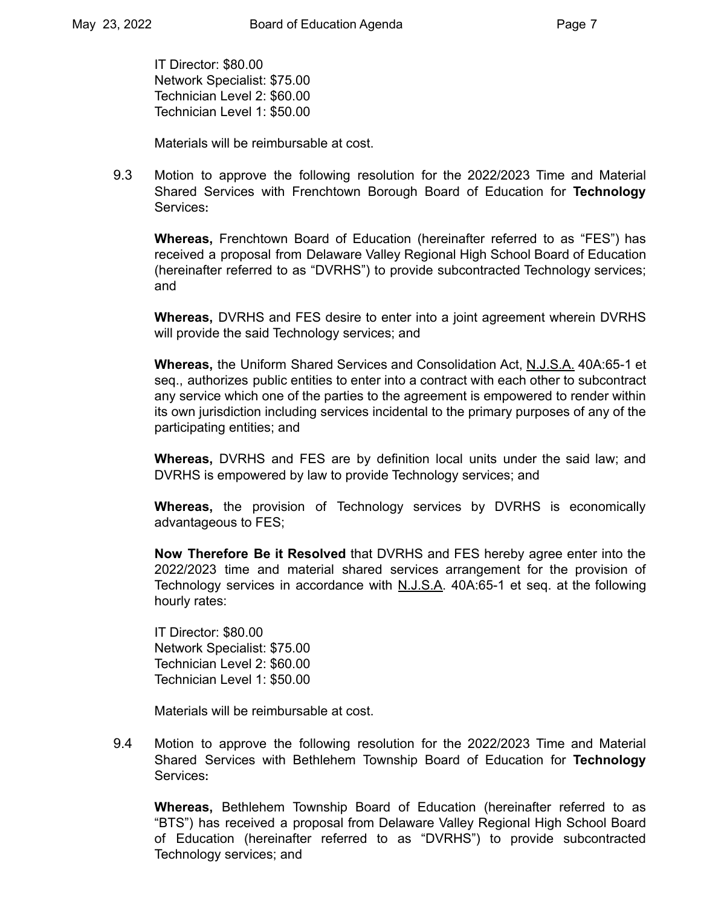IT Director: \$80.00 Network Specialist: \$75.00 Technician Level 2: \$60.00 Technician Level 1: \$50.00

Materials will be reimbursable at cost.

9.3 Motion to approve the following resolution for the 2022/2023 Time and Material Shared Services with Frenchtown Borough Board of Education for **Technology** Services**:**

**Whereas,** Frenchtown Board of Education (hereinafter referred to as "FES") has received a proposal from Delaware Valley Regional High School Board of Education (hereinafter referred to as "DVRHS") to provide subcontracted Technology services; and

**Whereas,** DVRHS and FES desire to enter into a joint agreement wherein DVRHS will provide the said Technology services; and

**Whereas,** the Uniform Shared Services and Consolidation Act, N.J.S.A. 40A:65-1 et seq., authorizes public entities to enter into a contract with each other to subcontract any service which one of the parties to the agreement is empowered to render within its own jurisdiction including services incidental to the primary purposes of any of the participating entities; and

**Whereas,** DVRHS and FES are by definition local units under the said law; and DVRHS is empowered by law to provide Technology services; and

**Whereas,** the provision of Technology services by DVRHS is economically advantageous to FES;

**Now Therefore Be it Resolved** that DVRHS and FES hereby agree enter into the 2022/2023 time and material shared services arrangement for the provision of Technology services in accordance with N.J.S.A. 40A:65-1 et seq. at the following hourly rates:

IT Director: \$80.00 Network Specialist: \$75.00 Technician Level 2: \$60.00 Technician Level 1: \$50.00

Materials will be reimbursable at cost.

9.4 Motion to approve the following resolution for the 2022/2023 Time and Material Shared Services with Bethlehem Township Board of Education for **Technology** Services**:**

**Whereas,** Bethlehem Township Board of Education (hereinafter referred to as "BTS") has received a proposal from Delaware Valley Regional High School Board of Education (hereinafter referred to as "DVRHS") to provide subcontracted Technology services; and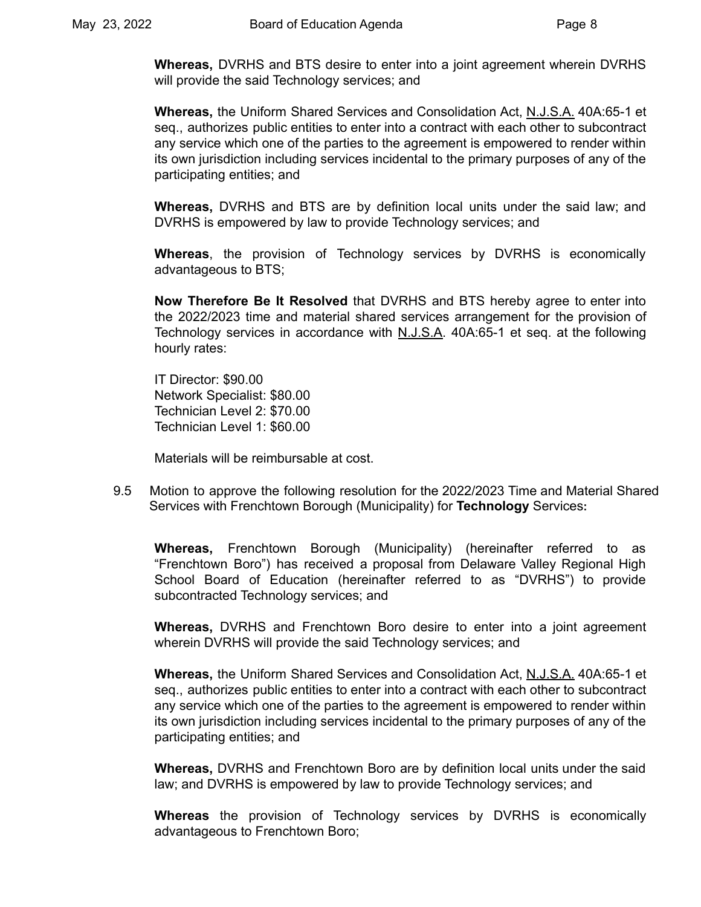**Whereas,** DVRHS and BTS desire to enter into a joint agreement wherein DVRHS will provide the said Technology services; and

**Whereas,** the Uniform Shared Services and Consolidation Act, N.J.S.A. 40A:65-1 et seq., authorizes public entities to enter into a contract with each other to subcontract any service which one of the parties to the agreement is empowered to render within its own jurisdiction including services incidental to the primary purposes of any of the participating entities; and

**Whereas,** DVRHS and BTS are by definition local units under the said law; and DVRHS is empowered by law to provide Technology services; and

**Whereas**, the provision of Technology services by DVRHS is economically advantageous to BTS;

**Now Therefore Be It Resolved** that DVRHS and BTS hereby agree to enter into the 2022/2023 time and material shared services arrangement for the provision of Technology services in accordance with N.J.S.A. 40A:65-1 et seq. at the following hourly rates:

IT Director: \$90.00 Network Specialist: \$80.00 Technician Level 2: \$70.00 Technician Level 1: \$60.00

Materials will be reimbursable at cost.

9.5 Motion to approve the following resolution for the 2022/2023 Time and Material Shared Services with Frenchtown Borough (Municipality) for **Technology** Services**:**

**Whereas,** Frenchtown Borough (Municipality) (hereinafter referred to as "Frenchtown Boro") has received a proposal from Delaware Valley Regional High School Board of Education (hereinafter referred to as "DVRHS") to provide subcontracted Technology services; and

**Whereas,** DVRHS and Frenchtown Boro desire to enter into a joint agreement wherein DVRHS will provide the said Technology services; and

**Whereas,** the Uniform Shared Services and Consolidation Act, N.J.S.A. 40A:65-1 et seq., authorizes public entities to enter into a contract with each other to subcontract any service which one of the parties to the agreement is empowered to render within its own jurisdiction including services incidental to the primary purposes of any of the participating entities; and

**Whereas,** DVRHS and Frenchtown Boro are by definition local units under the said law; and DVRHS is empowered by law to provide Technology services; and

**Whereas** the provision of Technology services by DVRHS is economically advantageous to Frenchtown Boro;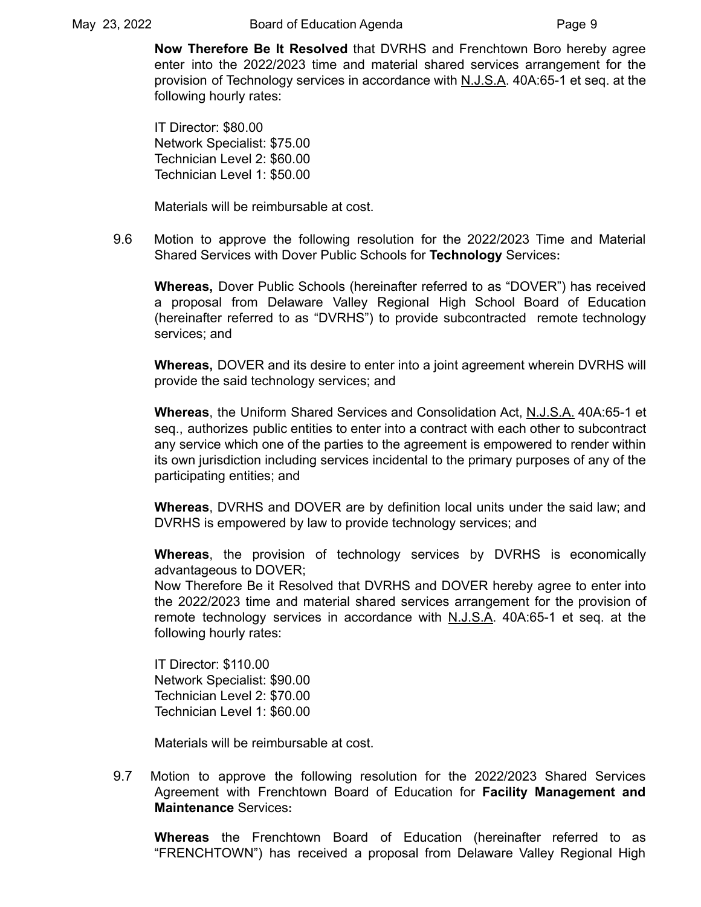**Now Therefore Be It Resolved** that DVRHS and Frenchtown Boro hereby agree enter into the 2022/2023 time and material shared services arrangement for the provision of Technology services in accordance with N.J.S.A. 40A:65-1 et seq. at the following hourly rates:

IT Director: \$80.00 Network Specialist: \$75.00 Technician Level 2: \$60.00 Technician Level 1: \$50.00

Materials will be reimbursable at cost.

9.6 Motion to approve the following resolution for the 2022/2023 Time and Material Shared Services with Dover Public Schools for **Technology** Services**:**

**Whereas,** Dover Public Schools (hereinafter referred to as "DOVER") has received a proposal from Delaware Valley Regional High School Board of Education (hereinafter referred to as "DVRHS") to provide subcontracted remote technology services; and

**Whereas,** DOVER and its desire to enter into a joint agreement wherein DVRHS will provide the said technology services; and

**Whereas**, the Uniform Shared Services and Consolidation Act, N.J.S.A. 40A:65-1 et seq., authorizes public entities to enter into a contract with each other to subcontract any service which one of the parties to the agreement is empowered to render within its own jurisdiction including services incidental to the primary purposes of any of the participating entities; and

**Whereas**, DVRHS and DOVER are by definition local units under the said law; and DVRHS is empowered by law to provide technology services; and

**Whereas**, the provision of technology services by DVRHS is economically advantageous to DOVER;

Now Therefore Be it Resolved that DVRHS and DOVER hereby agree to enter into the 2022/2023 time and material shared services arrangement for the provision of remote technology services in accordance with N.J.S.A. 40A:65-1 et seq. at the following hourly rates:

IT Director: \$110.00 Network Specialist: \$90.00 Technician Level 2: \$70.00 Technician Level 1: \$60.00

Materials will be reimbursable at cost.

9.7 Motion to approve the following resolution for the 2022/2023 Shared Services Agreement with Frenchtown Board of Education for **Facility Management and Maintenance** Services**:**

**Whereas** the Frenchtown Board of Education (hereinafter referred to as "FRENCHTOWN") has received a proposal from Delaware Valley Regional High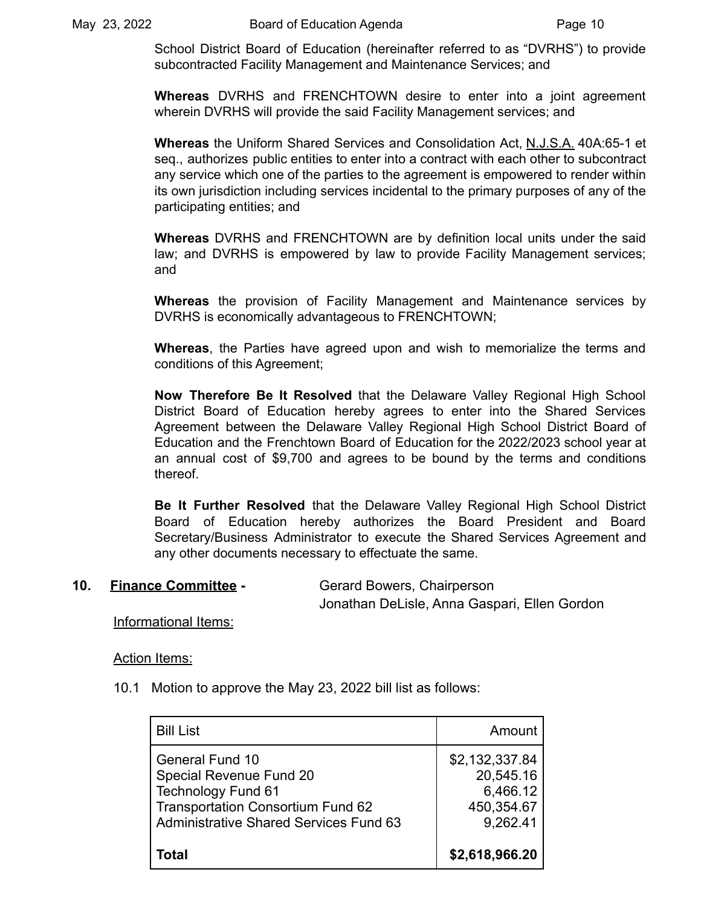School District Board of Education (hereinafter referred to as "DVRHS") to provide subcontracted Facility Management and Maintenance Services; and

**Whereas** DVRHS and FRENCHTOWN desire to enter into a joint agreement wherein DVRHS will provide the said Facility Management services; and

**Whereas** the Uniform Shared Services and Consolidation Act, N.J.S.A. 40A:65-1 et seq., authorizes public entities to enter into a contract with each other to subcontract any service which one of the parties to the agreement is empowered to render within its own jurisdiction including services incidental to the primary purposes of any of the participating entities; and

**Whereas** DVRHS and FRENCHTOWN are by definition local units under the said law; and DVRHS is empowered by law to provide Facility Management services; and

**Whereas** the provision of Facility Management and Maintenance services by DVRHS is economically advantageous to FRENCHTOWN;

**Whereas**, the Parties have agreed upon and wish to memorialize the terms and conditions of this Agreement;

**Now Therefore Be It Resolved** that the Delaware Valley Regional High School District Board of Education hereby agrees to enter into the Shared Services Agreement between the Delaware Valley Regional High School District Board of Education and the Frenchtown Board of Education for the 2022/2023 school year at an annual cost of \$9,700 and agrees to be bound by the terms and conditions thereof.

**Be It Further Resolved** that the Delaware Valley Regional High School District Board of Education hereby authorizes the Board President and Board Secretary/Business Administrator to execute the Shared Services Agreement and any other documents necessary to effectuate the same.

#### **10. Finance Committee -** Gerard Bowers, Chairperson

Jonathan DeLisle, Anna Gaspari, Ellen Gordon

Informational Items:

Action Items:

10.1 Motion to approve the May 23, 2022 bill list as follows:

| <b>Bill List</b>                                                                                                                                                            | Amount                                                            |
|-----------------------------------------------------------------------------------------------------------------------------------------------------------------------------|-------------------------------------------------------------------|
| <b>General Fund 10</b><br>Special Revenue Fund 20<br><b>Technology Fund 61</b><br><b>Transportation Consortium Fund 62</b><br><b>Administrative Shared Services Fund 63</b> | \$2,132,337.84<br>20,545.16<br>6,466.12<br>450,354.67<br>9,262.41 |
| Total                                                                                                                                                                       | \$2,618,966.20                                                    |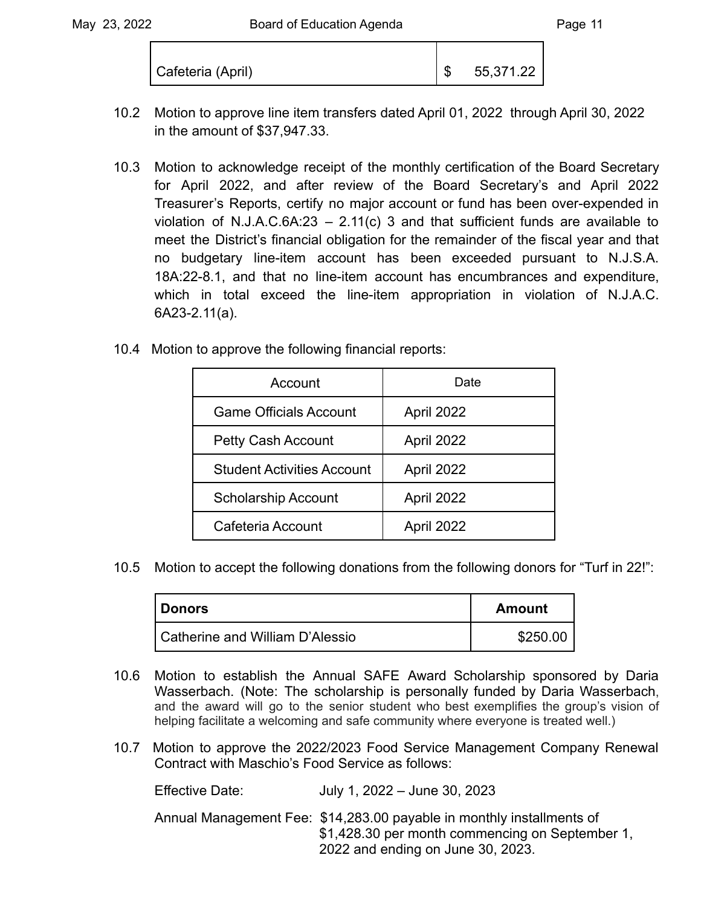| Cafeteria (April) |  | 55,371.22 |
|-------------------|--|-----------|
|-------------------|--|-----------|

- 10.2 Motion to approve line item transfers dated April 01, 2022 through April 30, 2022 in the amount of \$37,947.33.
- 10.3 Motion to acknowledge receipt of the monthly certification of the Board Secretary for April 2022, and after review of the Board Secretary's and April 2022 Treasurer's Reports, certify no major account or fund has been over-expended in violation of N.J.A.C.6A:23 – 2.11(c) 3 and that sufficient funds are available to meet the District's financial obligation for the remainder of the fiscal year and that no budgetary line-item account has been exceeded pursuant to N.J.S.A. 18A:22-8.1, and that no line-item account has encumbrances and expenditure, which in total exceed the line-item appropriation in violation of N.J.A.C. 6A23-2.11(a).
- 10.4 Motion to approve the following financial reports:

| Account                           | Date       |
|-----------------------------------|------------|
| <b>Game Officials Account</b>     | April 2022 |
| Petty Cash Account                | April 2022 |
| <b>Student Activities Account</b> | April 2022 |
| <b>Scholarship Account</b>        | April 2022 |
| Cafeteria Account                 | April 2022 |

10.5 Motion to accept the following donations from the following donors for "Turf in 22!":

| Donors                          | <b>Amount</b> |
|---------------------------------|---------------|
| Catherine and William D'Alessio | \$250.00      |

- 10.6 Motion to establish the Annual SAFE Award Scholarship sponsored by Daria Wasserbach. (Note: The scholarship is personally funded by Daria Wasserbach, and the award will go to the senior student who best exemplifies the group's vision of helping facilitate a welcoming and safe community where everyone is treated well.)
- 10.7 Motion to approve the 2022/2023 Food Service Management Company Renewal Contract with Maschio's Food Service as follows:

Effective Date: July 1, 2022 – June 30, 2023 Annual Management Fee: \$14,283.00 payable in monthly installments of \$1,428.30 per month commencing on September 1, 2022 and ending on June 30, 2023.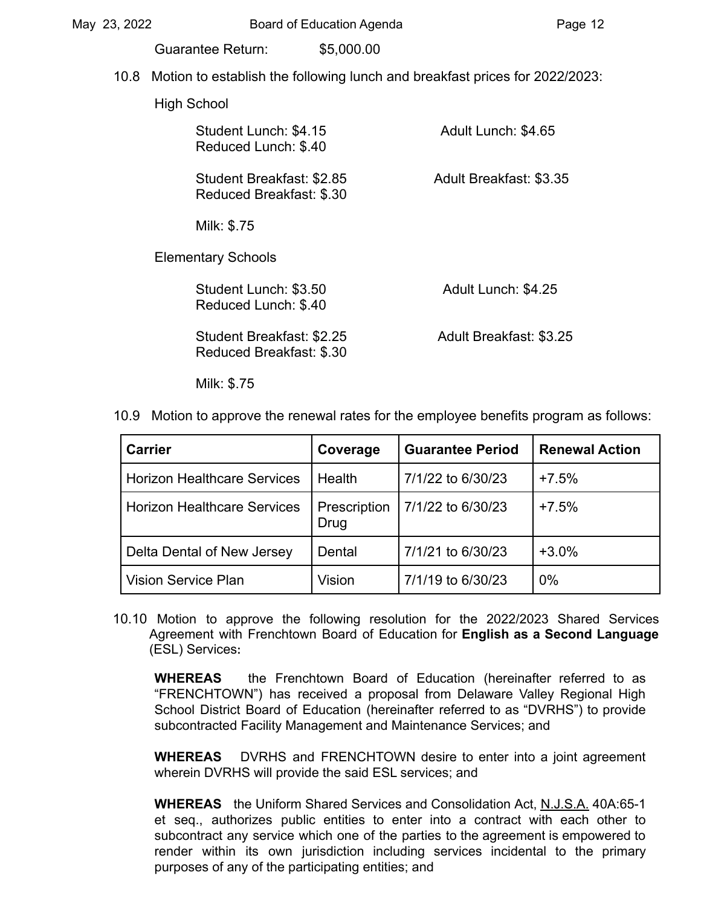| May 23, 2022 |  |                                                                                  | Board of Education Agenda |                         | Page 12 |
|--------------|--|----------------------------------------------------------------------------------|---------------------------|-------------------------|---------|
|              |  | Guarantee Return:                                                                | \$5,000.00                |                         |         |
|              |  | 10.8 Motion to establish the following lunch and breakfast prices for 2022/2023: |                           |                         |         |
|              |  | High School                                                                      |                           |                         |         |
|              |  | Student Lunch: \$4.15<br>Reduced Lunch: \$.40                                    |                           | Adult Lunch: \$4.65     |         |
|              |  | Student Breakfast: \$2.85<br>Reduced Breakfast: \$.30                            |                           | Adult Breakfast: \$3.35 |         |
|              |  | Milk: \$.75                                                                      |                           |                         |         |
|              |  | <b>Elementary Schools</b>                                                        |                           |                         |         |
|              |  | Student Lunch: \$3.50<br>Reduced Lunch: \$.40                                    |                           | Adult Lunch: \$4.25     |         |
|              |  | Student Breakfast: \$2.25<br>Reduced Breakfast: \$.30                            |                           | Adult Breakfast: \$3.25 |         |

Milk: \$.75

10.9 Motion to approve the renewal rates for the employee benefits program as follows:

| <b>Carrier</b>                     | Coverage             | <b>Guarantee Period</b> | <b>Renewal Action</b> |
|------------------------------------|----------------------|-------------------------|-----------------------|
| <b>Horizon Healthcare Services</b> | Health               | 7/1/22 to 6/30/23       | $+7.5%$               |
| <b>Horizon Healthcare Services</b> | Prescription<br>Drug | 7/1/22 to 6/30/23       | $+7.5%$               |
| Delta Dental of New Jersey         | Dental               | 7/1/21 to 6/30/23       | $+3.0%$               |
| <b>Vision Service Plan</b>         | Vision               | 7/1/19 to 6/30/23       | 0%                    |

10.10 Motion to approve the following resolution for the 2022/2023 Shared Services Agreement with Frenchtown Board of Education for **English as a Second Language** (ESL) Services**:**

**WHEREAS** the Frenchtown Board of Education (hereinafter referred to as "FRENCHTOWN") has received a proposal from Delaware Valley Regional High School District Board of Education (hereinafter referred to as "DVRHS") to provide subcontracted Facility Management and Maintenance Services; and

**WHEREAS** DVRHS and FRENCHTOWN desire to enter into a joint agreement wherein DVRHS will provide the said ESL services; and

**WHEREAS** the Uniform Shared Services and Consolidation Act, N.J.S.A. 40A:65-1 et seq., authorizes public entities to enter into a contract with each other to subcontract any service which one of the parties to the agreement is empowered to render within its own jurisdiction including services incidental to the primary purposes of any of the participating entities; and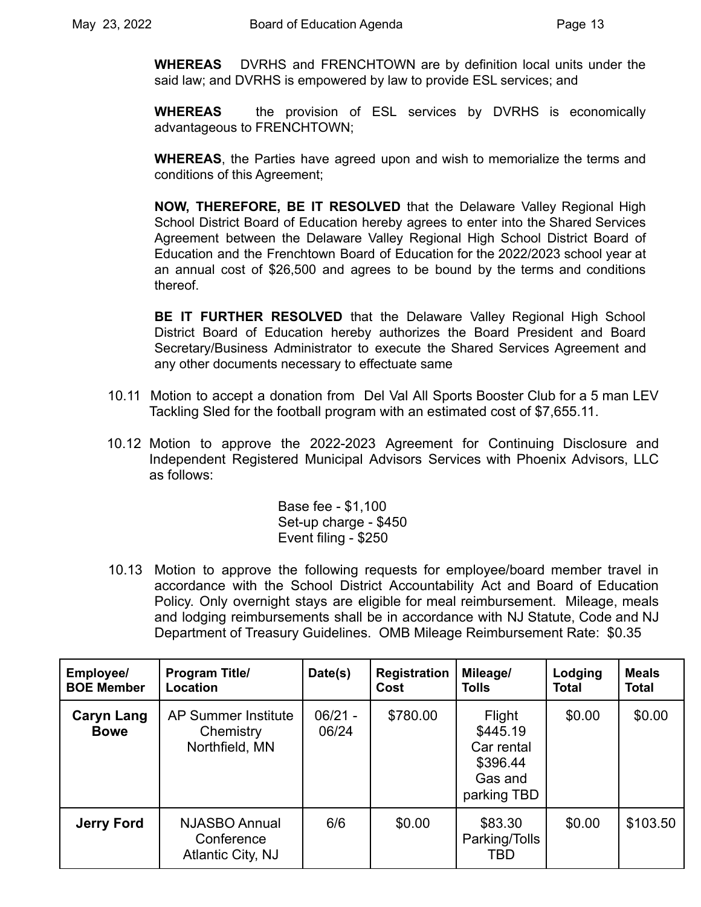**WHEREAS** DVRHS and FRENCHTOWN are by definition local units under the said law; and DVRHS is empowered by law to provide ESL services; and

**WHEREAS** the provision of ESL services by DVRHS is economically advantageous to FRENCHTOWN;

**WHEREAS**, the Parties have agreed upon and wish to memorialize the terms and conditions of this Agreement;

**NOW, THEREFORE, BE IT RESOLVED** that the Delaware Valley Regional High School District Board of Education hereby agrees to enter into the Shared Services Agreement between the Delaware Valley Regional High School District Board of Education and the Frenchtown Board of Education for the 2022/2023 school year at an annual cost of \$26,500 and agrees to be bound by the terms and conditions thereof.

**BE IT FURTHER RESOLVED** that the Delaware Valley Regional High School District Board of Education hereby authorizes the Board President and Board Secretary/Business Administrator to execute the Shared Services Agreement and any other documents necessary to effectuate same

- 10.11 Motion to accept a donation from Del Val All Sports Booster Club for a 5 man LEV Tackling Sled for the football program with an estimated cost of \$7,655.11.
- 10.12 Motion to approve the 2022-2023 Agreement for Continuing Disclosure and Independent Registered Municipal Advisors Services with Phoenix Advisors, LLC as follows:

Base fee - \$1,100 Set-up charge - \$450 Event filing - \$250

10.13 Motion to approve the following requests for employee/board member travel in accordance with the School District Accountability Act and Board of Education Policy. Only overnight stays are eligible for meal reimbursement. Mileage, meals and lodging reimbursements shall be in accordance with NJ Statute, Code and NJ Department of Treasury Guidelines. OMB Mileage Reimbursement Rate: \$0.35

| Employee/<br><b>BOE Member</b>   | <b>Program Title/</b><br>Location                         | Date(s)            | <b>Registration</b><br>Cost | Mileage/<br><b>Tolls</b>                                               | Lodging<br><b>Total</b> | <b>Meals</b><br><b>Total</b> |
|----------------------------------|-----------------------------------------------------------|--------------------|-----------------------------|------------------------------------------------------------------------|-------------------------|------------------------------|
| <b>Caryn Lang</b><br><b>Bowe</b> | <b>AP Summer Institute</b><br>Chemistry<br>Northfield, MN | $06/21 -$<br>06/24 | \$780.00                    | Flight<br>\$445.19<br>Car rental<br>\$396.44<br>Gas and<br>parking TBD | \$0.00                  | \$0.00                       |
| <b>Jerry Ford</b>                | NJASBO Annual<br>Conference<br>Atlantic City, NJ          | 6/6                | \$0.00                      | \$83.30<br>Parking/Tolls<br>TBD                                        | \$0.00                  | \$103.50                     |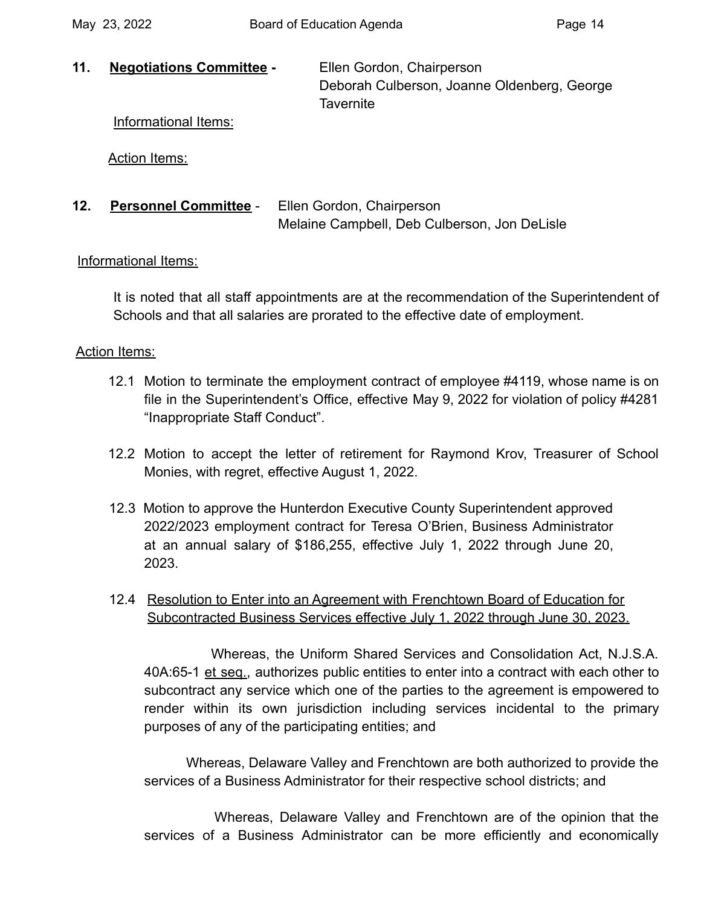**11. Negotiations Committee -** Ellen Gordon, Chairperson Deborah Culberson, Joanne Oldenberg, George **Tavernite** 

Informational Items:

Action Items:

**12. Personnel Committee** - Ellen Gordon, Chairperson Melaine Campbell, Deb Culberson, Jon DeLisle

## Informational Items:

It is noted that all staff appointments are at the recommendation of the Superintendent of Schools and that all salaries are prorated to the effective date of employment.

## Action Items:

- 12.1 Motion to terminate the employment contract of employee #4119, whose name is on file in the Superintendent's Office, effective May 9, 2022 for violation of policy #4281 "Inappropriate Staff Conduct".
- 12.2 Motion to accept the letter of retirement for Raymond Krov, Treasurer of School Monies, with regret, effective August 1, 2022.
- 12.3 Motion to approve the Hunterdon Executive County Superintendent approved 2022/2023 employment contract for Teresa O'Brien, Business Administrator at an annual salary of \$186,255, effective July 1, 2022 through June 20, 2023.
- 12.4 Resolution to Enter into an Agreement with Frenchtown Board of Education for Subcontracted Business Services effective July 1, 2022 through June 30, 2023.

Whereas, the Uniform Shared Services and Consolidation Act, N.J.S.A. 40A:65-1 et seq., authorizes public entities to enter into a contract with each other to subcontract any service which one of the parties to the agreement is empowered to render within its own jurisdiction including services incidental to the primary purposes of any of the participating entities; and

Whereas, Delaware Valley and Frenchtown are both authorized to provide the services of a Business Administrator for their respective school districts; and

Whereas, Delaware Valley and Frenchtown are of the opinion that the services of a Business Administrator can be more efficiently and economically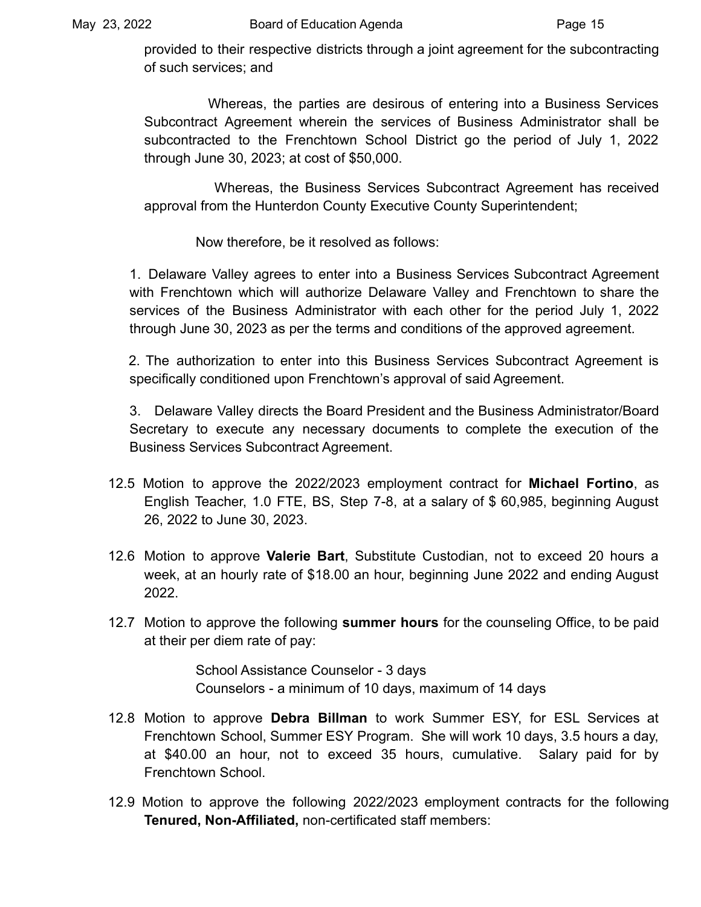provided to their respective districts through a joint agreement for the subcontracting of such services; and

Whereas, the parties are desirous of entering into a Business Services Subcontract Agreement wherein the services of Business Administrator shall be subcontracted to the Frenchtown School District go the period of July 1, 2022 through June 30, 2023; at cost of \$50,000.

Whereas, the Business Services Subcontract Agreement has received approval from the Hunterdon County Executive County Superintendent;

Now therefore, be it resolved as follows:

1. Delaware Valley agrees to enter into a Business Services Subcontract Agreement with Frenchtown which will authorize Delaware Valley and Frenchtown to share the services of the Business Administrator with each other for the period July 1, 2022 through June 30, 2023 as per the terms and conditions of the approved agreement.

2. The authorization to enter into this Business Services Subcontract Agreement is specifically conditioned upon Frenchtown's approval of said Agreement.

3. Delaware Valley directs the Board President and the Business Administrator/Board Secretary to execute any necessary documents to complete the execution of the Business Services Subcontract Agreement.

- 12.5 Motion to approve the 2022/2023 employment contract for **Michael Fortino**, as English Teacher, 1.0 FTE, BS, Step 7-8, at a salary of \$ 60,985, beginning August 26, 2022 to June 30, 2023.
- 12.6 Motion to approve **Valerie Bart**, Substitute Custodian, not to exceed 20 hours a week, at an hourly rate of \$18.00 an hour, beginning June 2022 and ending August 2022.
- 12.7 Motion to approve the following **summer hours** for the counseling Office, to be paid at their per diem rate of pay:

School Assistance Counselor - 3 days Counselors - a minimum of 10 days, maximum of 14 days

- 12.8 Motion to approve **Debra Billman** to work Summer ESY, for ESL Services at Frenchtown School, Summer ESY Program. She will work 10 days, 3.5 hours a day, at \$40.00 an hour, not to exceed 35 hours, cumulative. Salary paid for by Frenchtown School.
- 12.9 Motion to approve the following 2022/2023 employment contracts for the following **Tenured, Non-Affiliated,** non-certificated staff members: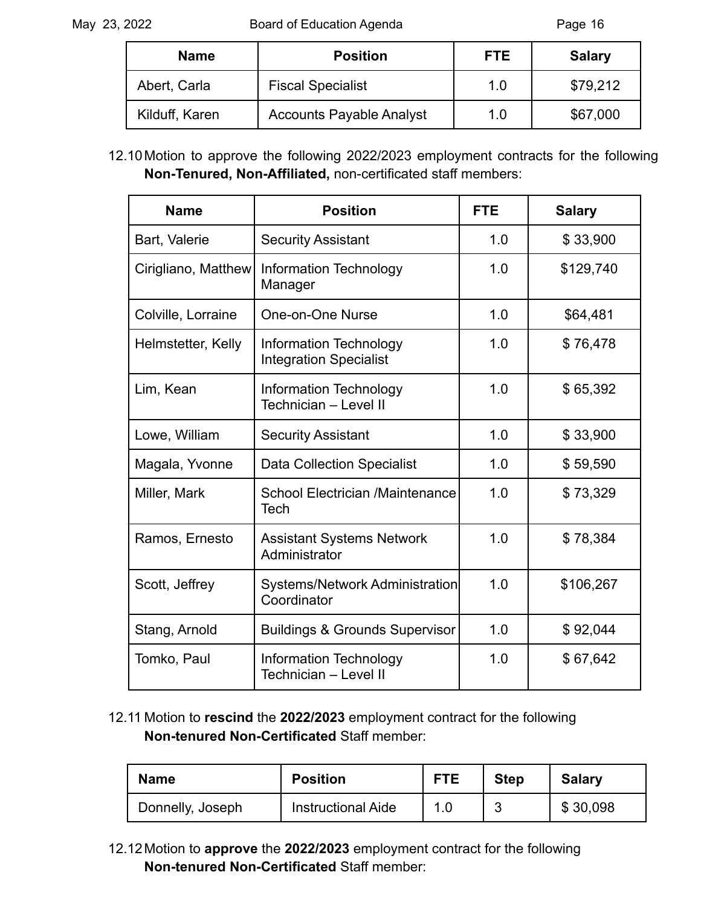| <b>Name</b>    | <b>Position</b>                 | <b>FTE</b> | <b>Salary</b> |
|----------------|---------------------------------|------------|---------------|
| Abert, Carla   | <b>Fiscal Specialist</b>        | 1.0        | \$79,212      |
| Kilduff, Karen | <b>Accounts Payable Analyst</b> | 1.0        | \$67,000      |

12.10Motion to approve the following 2022/2023 employment contracts for the following **Non-Tenured, Non-Affiliated,** non-certificated staff members:

| <b>Name</b>         | <b>Position</b>                                                | <b>FTE</b> | <b>Salary</b> |
|---------------------|----------------------------------------------------------------|------------|---------------|
| Bart, Valerie       | <b>Security Assistant</b>                                      | 1.0        | \$33,900      |
| Cirigliano, Matthew | Information Technology<br>Manager                              | 1.0        | \$129,740     |
| Colville, Lorraine  | One-on-One Nurse                                               | 1.0        | \$64,481      |
| Helmstetter, Kelly  | <b>Information Technology</b><br><b>Integration Specialist</b> | 1.0        | \$76,478      |
| Lim, Kean           | Information Technology<br>Technician - Level II                | 1.0        | \$65,392      |
| Lowe, William       | <b>Security Assistant</b>                                      | 1.0        | \$33,900      |
| Magala, Yvonne      | <b>Data Collection Specialist</b>                              | 1.0        | \$59,590      |
| Miller, Mark        | <b>School Electrician /Maintenance</b><br>Tech                 | 1.0        | \$73,329      |
| Ramos, Ernesto      | <b>Assistant Systems Network</b><br>Administrator              | 1.0        | \$78,384      |
| Scott, Jeffrey      | <b>Systems/Network Administration</b><br>Coordinator           | 1.0        | \$106,267     |
| Stang, Arnold       | <b>Buildings &amp; Grounds Supervisor</b>                      | 1.0        | \$92,044      |
| Tomko, Paul         | Information Technology<br>Technician - Level II                | 1.0        | \$67,642      |

12.11 Motion to **rescind** the **2022/2023** employment contract for the following **Non-tenured Non-Certificated** Staff member:

| <b>Name</b>      | <b>Position</b>           | <b>FTE</b> | <b>Step</b> | <b>Salary</b> |
|------------------|---------------------------|------------|-------------|---------------|
| Donnelly, Joseph | <b>Instructional Aide</b> | 1.0        |             | \$30,098      |

12.12Motion to **approve** the **2022/2023** employment contract for the following **Non-tenured Non-Certificated** Staff member: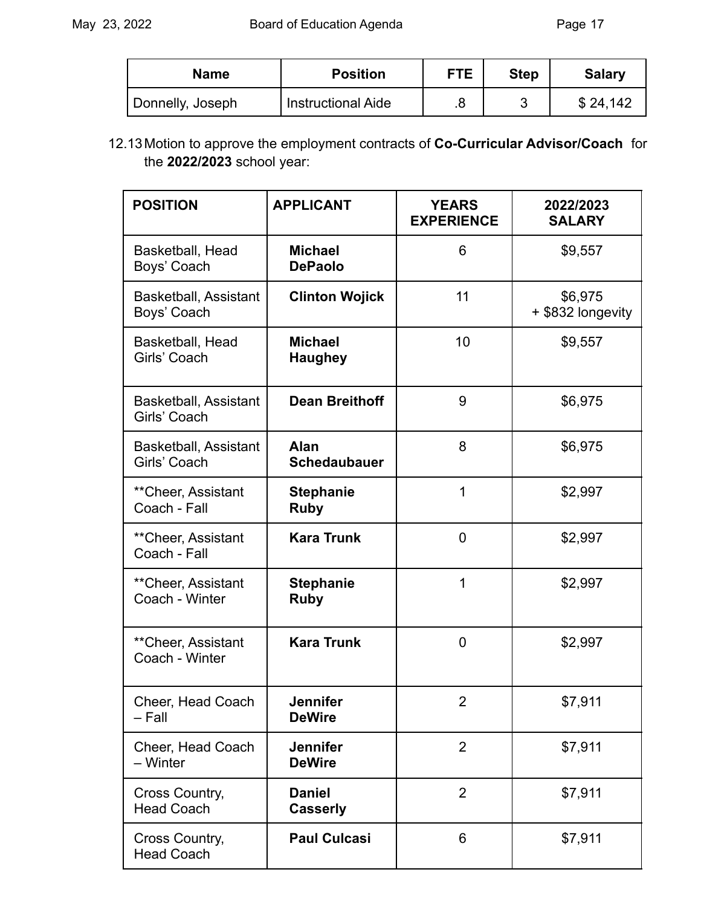| <b>Name</b>      | <b>Position</b>           | <b>FTE</b> | <b>Step</b> | <b>Salary</b> |
|------------------|---------------------------|------------|-------------|---------------|
| Donnelly, Joseph | <b>Instructional Aide</b> |            |             | \$24,142      |

12.13Motion to approve the employment contracts of **Co-Curricular Advisor/Coach** for the **2022/2023** school year:

| <b>POSITION</b>                              | <b>APPLICANT</b>                   | <b>YEARS</b><br><b>EXPERIENCE</b> | 2022/2023<br><b>SALARY</b>   |
|----------------------------------------------|------------------------------------|-----------------------------------|------------------------------|
| Basketball, Head<br>Boys' Coach              | <b>Michael</b><br><b>DePaolo</b>   | 6                                 | \$9,557                      |
| <b>Basketball, Assistant</b><br>Boys' Coach  | <b>Clinton Wojick</b>              | 11                                | \$6,975<br>+ \$832 longevity |
| Basketball, Head<br>Girls' Coach             | <b>Michael</b><br><b>Haughey</b>   | 10                                | \$9,557                      |
| <b>Basketball, Assistant</b><br>Girls' Coach | <b>Dean Breithoff</b>              | 9                                 | \$6,975                      |
| Basketball, Assistant<br>Girls' Coach        | <b>Alan</b><br><b>Schedaubauer</b> | 8                                 | \$6,975                      |
| **Cheer, Assistant<br>Coach - Fall           | <b>Stephanie</b><br><b>Ruby</b>    | 1                                 | \$2,997                      |
| **Cheer, Assistant<br>Coach - Fall           | <b>Kara Trunk</b>                  | $\mathbf 0$                       | \$2,997                      |
| ** Cheer, Assistant<br>Coach - Winter        | <b>Stephanie</b><br><b>Ruby</b>    | 1                                 | \$2,997                      |
| ** Cheer, Assistant<br>Coach - Winter        | <b>Kara Trunk</b>                  | 0                                 | \$2,997                      |
| Cheer, Head Coach<br>– Fall                  | <b>Jennifer</b><br><b>DeWire</b>   | 2                                 | \$7,911                      |
| Cheer, Head Coach<br>- Winter                | <b>Jennifer</b><br><b>DeWire</b>   | $\overline{2}$                    | \$7,911                      |
| Cross Country,<br><b>Head Coach</b>          | <b>Daniel</b><br><b>Casserly</b>   | $\overline{2}$                    | \$7,911                      |
| Cross Country,<br><b>Head Coach</b>          | <b>Paul Culcasi</b>                | 6                                 | \$7,911                      |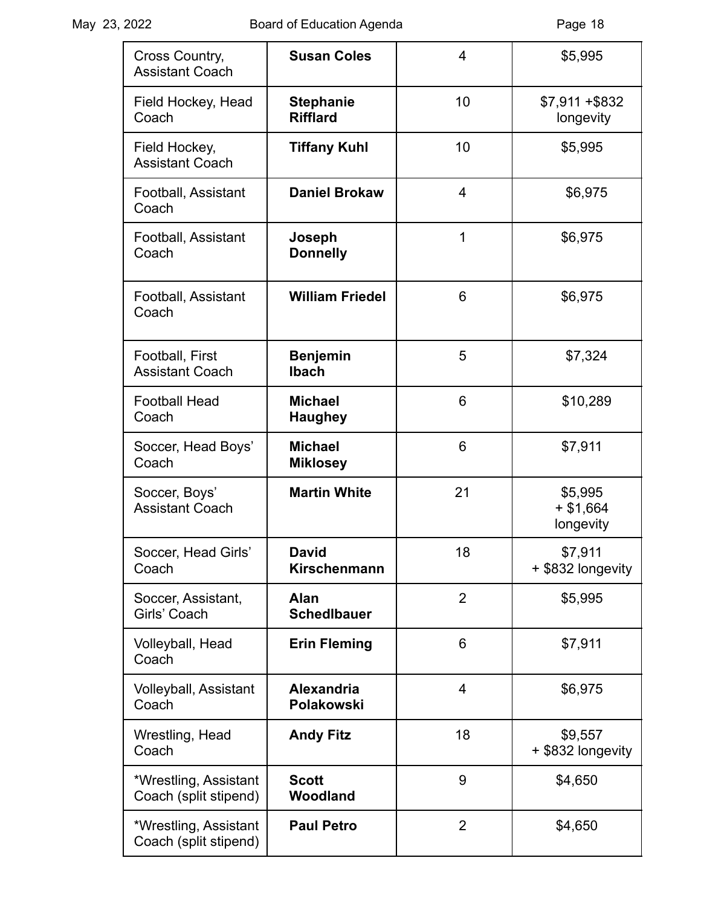| Cross Country,<br><b>Assistant Coach</b>       | <b>Susan Coles</b>                  | 4              | \$5,995                            |
|------------------------------------------------|-------------------------------------|----------------|------------------------------------|
| Field Hockey, Head<br>Coach                    | <b>Stephanie</b><br><b>Rifflard</b> | 10             | $$7,911 + $832$<br>longevity       |
| Field Hockey,<br><b>Assistant Coach</b>        | <b>Tiffany Kuhl</b>                 | 10             | \$5,995                            |
| Football, Assistant<br>Coach                   | <b>Daniel Brokaw</b>                | 4              | \$6,975                            |
| Football, Assistant<br>Coach                   | Joseph<br><b>Donnelly</b>           | 1              | \$6,975                            |
| Football, Assistant<br>Coach                   | <b>William Friedel</b>              | 6              | \$6,975                            |
| Football, First<br><b>Assistant Coach</b>      | <b>Benjemin</b><br><b>Ibach</b>     | 5              | \$7,324                            |
| <b>Football Head</b><br>Coach                  | <b>Michael</b><br><b>Haughey</b>    | 6              | \$10,289                           |
| Soccer, Head Boys'<br>Coach                    | <b>Michael</b><br><b>Miklosey</b>   | 6              | \$7,911                            |
| Soccer, Boys'<br><b>Assistant Coach</b>        | <b>Martin White</b>                 | 21             | \$5,995<br>$+ $1,664$<br>longevity |
| Soccer, Head Girls'<br>Coach                   | David<br>Kirschenmann               | 18             | \$7,911<br>+ \$832 longevity       |
| Soccer, Assistant,<br>Girls' Coach             | Alan<br><b>Schedlbauer</b>          | $\overline{2}$ | \$5,995                            |
| Volleyball, Head<br>Coach                      | <b>Erin Fleming</b>                 | 6              | \$7,911                            |
| Volleyball, Assistant<br>Coach                 | <b>Alexandria</b><br>Polakowski     | 4              | \$6,975                            |
| Wrestling, Head<br>Coach                       | <b>Andy Fitz</b>                    | 18             | \$9,557<br>+ \$832 longevity       |
| *Wrestling, Assistant<br>Coach (split stipend) | <b>Scott</b><br>Woodland            | 9              | \$4,650                            |
| *Wrestling, Assistant<br>Coach (split stipend) | <b>Paul Petro</b>                   | $\overline{2}$ | \$4,650                            |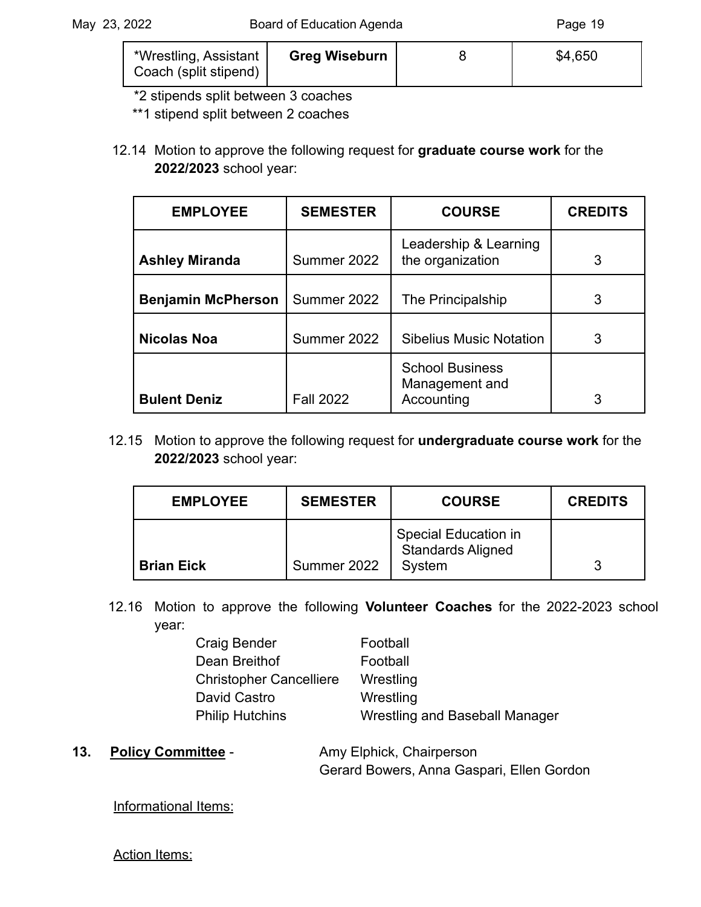| *Wrestling, Assistant | <b>Greg Wiseburn</b> | \$4,650 |
|-----------------------|----------------------|---------|
| Coach (split stipend) |                      |         |

\*2 stipends split between 3 coaches

\*\*1 stipend split between 2 coaches

12.14 Motion to approve the following request for **graduate course work** for the **2022/2023** school year:

| <b>EMPLOYEE</b>           | <b>SEMESTER</b>  | <b>COURSE</b>                                          | <b>CREDITS</b> |
|---------------------------|------------------|--------------------------------------------------------|----------------|
| <b>Ashley Miranda</b>     | Summer 2022      | Leadership & Learning<br>the organization              | 3              |
| <b>Benjamin McPherson</b> | Summer 2022      | The Principalship                                      | 3              |
| <b>Nicolas Noa</b>        | Summer 2022      | <b>Sibelius Music Notation</b>                         | 3              |
| <b>Bulent Deniz</b>       | <b>Fall 2022</b> | <b>School Business</b><br>Management and<br>Accounting | 3              |

12.15 Motion to approve the following request for **undergraduate course work** for the **2022/2023** school year:

| <b>EMPLOYEE</b>   | <b>SEMESTER</b> | <b>COURSE</b>                                              | <b>CREDITS</b> |
|-------------------|-----------------|------------------------------------------------------------|----------------|
| <b>Brian Eick</b> | Summer 2022     | Special Education in<br><b>Standards Aligned</b><br>System | 3              |

12.16 Motion to approve the following **Volunteer Coaches** for the 2022-2023 school year:

| <b>Craig Bender</b>            | Football                       |
|--------------------------------|--------------------------------|
| Dean Breithof                  | Football                       |
| <b>Christopher Cancelliere</b> | Wrestling                      |
| David Castro                   | Wrestling                      |
| <b>Philip Hutchins</b>         | Wrestling and Baseball Manager |

13. **Policy Committee** - **Amy Elphick, Chairperson** 

Gerard Bowers, Anna Gaspari, Ellen Gordon

Informational Items:

**Action Items:**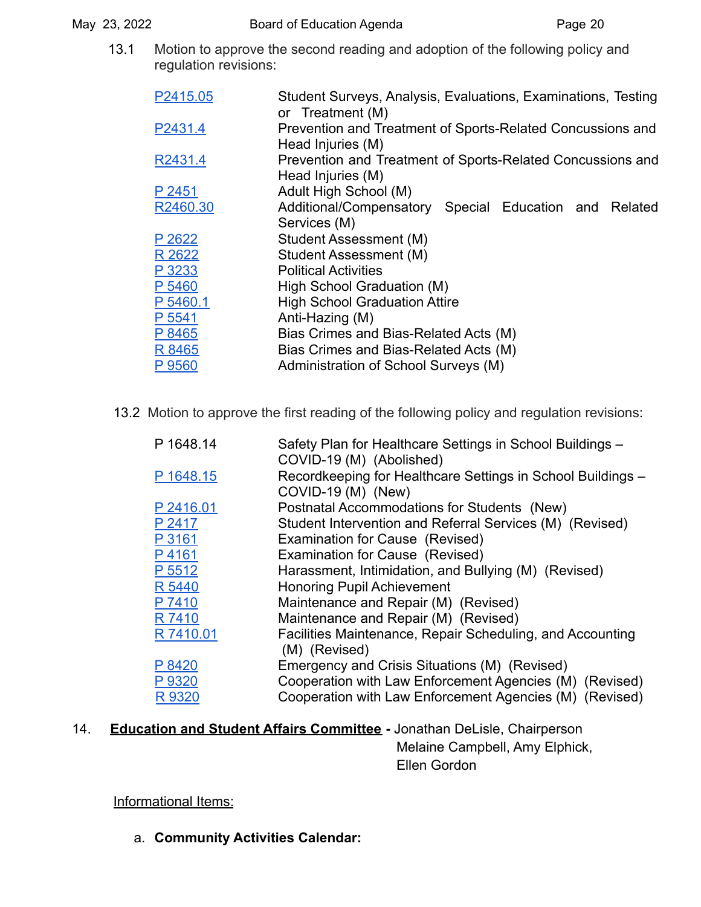13.1 Motion to approve the second reading and adoption of the following policy and regulation revisions:

| P2415.05 | Student Surveys, Analysis, Evaluations, Examinations, Testing<br>or Treatment (M) |
|----------|-----------------------------------------------------------------------------------|
| P2431.4  | Prevention and Treatment of Sports-Related Concussions and<br>Head Injuries (M)   |
| R2431.4  | Prevention and Treatment of Sports-Related Concussions and<br>Head Injuries (M)   |
| P 2451   | Adult High School (M)                                                             |
| R2460.30 | Additional/Compensatory Special Education and Related                             |
|          | Services (M)                                                                      |
| P 2622   | Student Assessment (M)                                                            |
| R 2622   | Student Assessment (M)                                                            |
| P 3233   | <b>Political Activities</b>                                                       |
| P 5460   | High School Graduation (M)                                                        |
| P 5460.1 | <b>High School Graduation Attire</b>                                              |
| P 5541   | Anti-Hazing (M)                                                                   |
| P 8465   | Bias Crimes and Bias-Related Acts (M)                                             |
| R 8465   | Bias Crimes and Bias-Related Acts (M)                                             |
| P 9560   | Administration of School Surveys (M)                                              |

13.2 Motion to approve the first reading of the following policy and regulation revisions:

| P 1648.14 | Safety Plan for Healthcare Settings in School Buildings -<br>COVID-19 (M) (Abolished) |
|-----------|---------------------------------------------------------------------------------------|
| P 1648.15 | Recordkeeping for Healthcare Settings in School Buildings -<br>COVID-19 (M) (New)     |
| P 2416.01 | Postnatal Accommodations for Students (New)                                           |
| P 2417    | Student Intervention and Referral Services (M) (Revised)                              |
| P 3161    | Examination for Cause (Revised)                                                       |
| P4161     | Examination for Cause (Revised)                                                       |
| P 5512    | Harassment, Intimidation, and Bullying (M) (Revised)                                  |
| R 5440    | <b>Honoring Pupil Achievement</b>                                                     |
| P 7410    | Maintenance and Repair (M) (Revised)                                                  |
| R 7410    | Maintenance and Repair (M) (Revised)                                                  |
| R 7410.01 | Facilities Maintenance, Repair Scheduling, and Accounting<br>(M) (Revised)            |
| P 8420    | Emergency and Crisis Situations (M) (Revised)                                         |
| P 9320    | Cooperation with Law Enforcement Agencies (M) (Revised)                               |
| R 9320    | Cooperation with Law Enforcement Agencies (M) (Revised)                               |

14. **Education and Student Affairs Committee -** Jonathan DeLisle, Chairperson Melaine Campbell, Amy Elphick, Ellen Gordon

Informational Items:

a. **Community Activities Calendar:**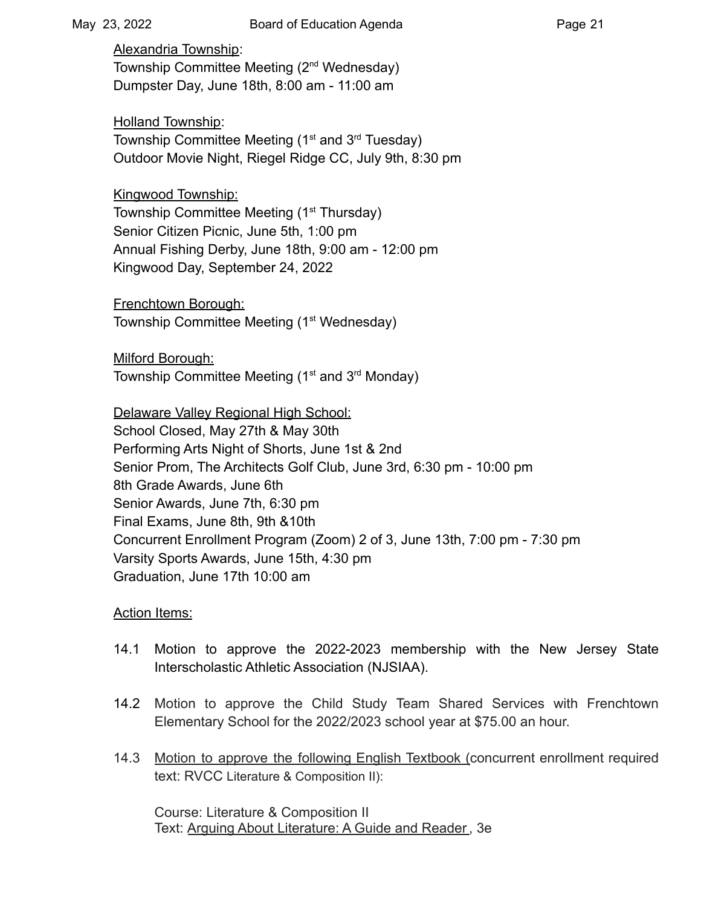Alexandria Township: Township Committee Meeting (2nd Wednesday) Dumpster Day, June 18th, 8:00 am - 11:00 am

Holland Township: Township Committee Meeting  $(1<sup>st</sup>$  and  $3<sup>rd</sup>$  Tuesday) Outdoor Movie Night, Riegel Ridge CC, July 9th, 8:30 pm

Kingwood Township: Township Committee Meeting (1<sup>st</sup> Thursday) Senior Citizen Picnic, June 5th, 1:00 pm Annual Fishing Derby, June 18th, 9:00 am - 12:00 pm Kingwood Day, September 24, 2022

Frenchtown Borough: Township Committee Meeting (1<sup>st</sup> Wednesday)

Milford Borough: Township Committee Meeting (1<sup>st</sup> and 3<sup>rd</sup> Monday)

Delaware Valley Regional High School: School Closed, May 27th & May 30th Performing Arts Night of Shorts, June 1st & 2nd Senior Prom, The Architects Golf Club, June 3rd, 6:30 pm - 10:00 pm 8th Grade Awards, June 6th Senior Awards, June 7th, 6:30 pm Final Exams, June 8th, 9th &10th Concurrent Enrollment Program (Zoom) 2 of 3, June 13th, 7:00 pm - 7:30 pm Varsity Sports Awards, June 15th, 4:30 pm Graduation, June 17th 10:00 am

## Action Items:

- 14.1 Motion to approve the 2022-2023 membership with the New Jersey State Interscholastic Athletic Association (NJSIAA).
- 14.2 Motion to approve the Child Study Team Shared Services with Frenchtown Elementary School for the 2022/2023 school year at \$75.00 an hour.
- 14.3 Motion to approve the following English Textbook (concurrent enrollment required text: RVCC Literature & Composition II):

Course: Literature & Composition II Text: Arguing About Literature: A Guide and Reader, 3e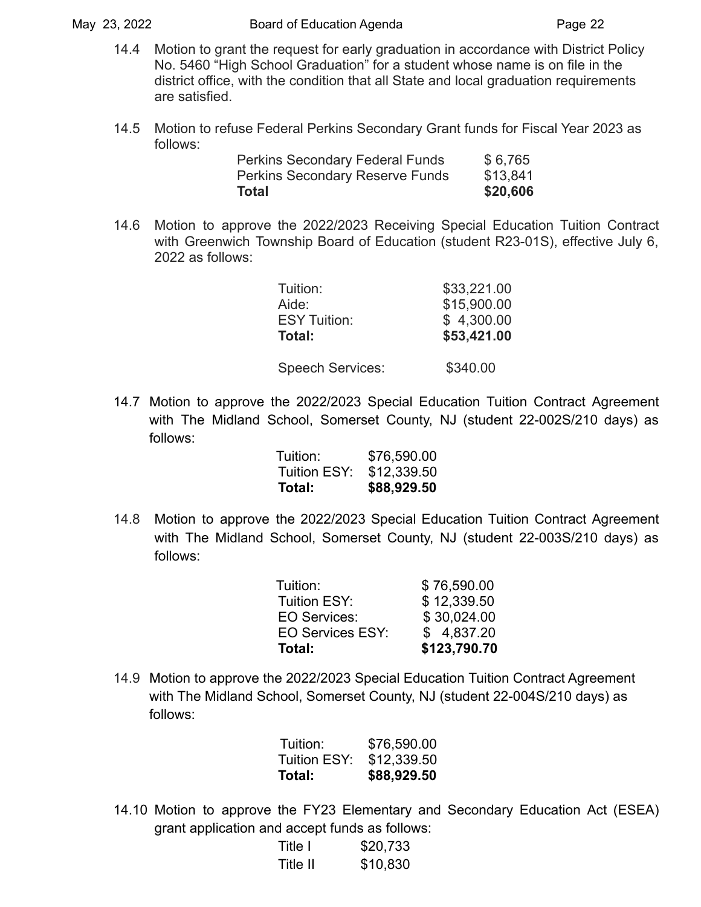- 14.4 Motion to grant the request for early graduation in accordance with District Policy No. 5460 "High School Graduation" for a student whose name is on file in the district office, with the condition that all State and local graduation requirements are satisfied.
- 14.5 Motion to refuse Federal Perkins Secondary Grant funds for Fiscal Year 2023 as follows:

| Total |                                        | \$20,606 |
|-------|----------------------------------------|----------|
|       | <b>Perkins Secondary Reserve Funds</b> | \$13,841 |
|       | <b>Perkins Secondary Federal Funds</b> | \$6,765  |

14.6 Motion to approve the 2022/2023 Receiving Special Education Tuition Contract with Greenwich Township Board of Education (student R23-01S), effective July 6, 2022 as follows:

| Tuition:            | \$33,221.00 |
|---------------------|-------------|
| Aide:               | \$15,900.00 |
| <b>ESY Tuition:</b> | \$4,300.00  |
| Total:              | \$53,421.00 |
|                     |             |

Speech Services: \$340.00

14.7 Motion to approve the 2022/2023 Special Education Tuition Contract Agreement with The Midland School, Somerset County, NJ (student 22-002S/210 days) as follows:

| Total:       | \$88,929.50 |
|--------------|-------------|
| Tuition ESY: | \$12,339.50 |
| Tuition:     | \$76,590.00 |

14.8 Motion to approve the 2022/2023 Special Education Tuition Contract Agreement with The Midland School, Somerset County, NJ (student 22-003S/210 days) as follows:

| Tuition:                | \$76,590.00  |
|-------------------------|--------------|
| <b>Tuition ESY:</b>     | \$12,339.50  |
| EO Services:            | \$30,024.00  |
| <b>EO Services ESY:</b> | \$4,837.20   |
| Total:                  | \$123,790.70 |

14.9 Motion to approve the 2022/2023 Special Education Tuition Contract Agreement with The Midland School, Somerset County, NJ (student 22-004S/210 days) as follows:

| Tuition:     | \$76,590.00 |
|--------------|-------------|
| Tuition ESY: | \$12,339.50 |
| Total:       | \$88,929.50 |

14.10 Motion to approve the FY23 Elementary and Secondary Education Act (ESEA) grant application and accept funds as follows:

| Title I  | \$20,733 |
|----------|----------|
| Title II | \$10,830 |